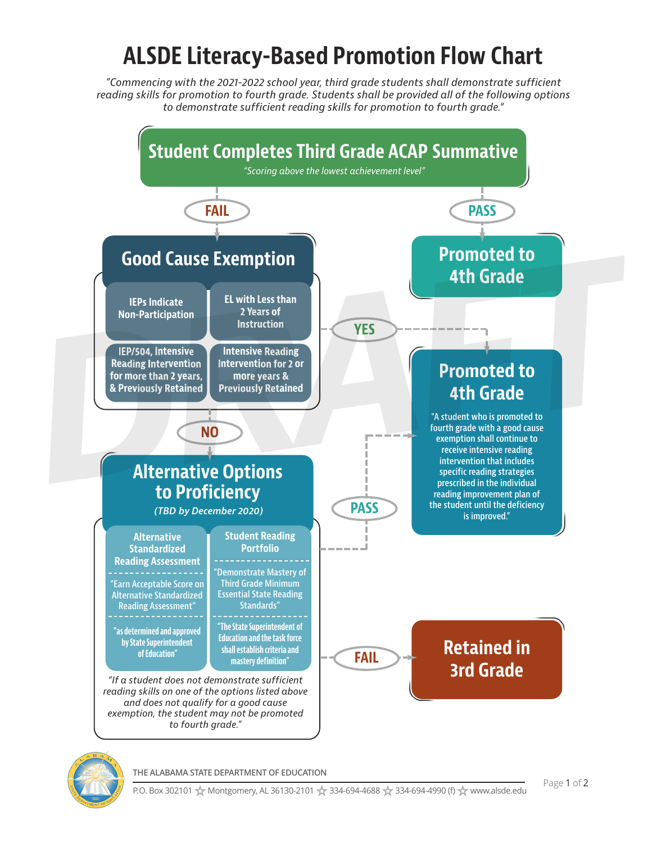## **ALSDE Literacy-Based Promotion Flow Chart**

*"Commencing with the 2021-2022 school year, third grade students shall demonstrate sufficient reading skills for promotion to fourth grade. Students shall be provided all of the following options to demonstrate sufficient reading skills for promotion to fourth grade."*





**THE ALABAMA STATE DEPARTMENT OF EDUCATION**